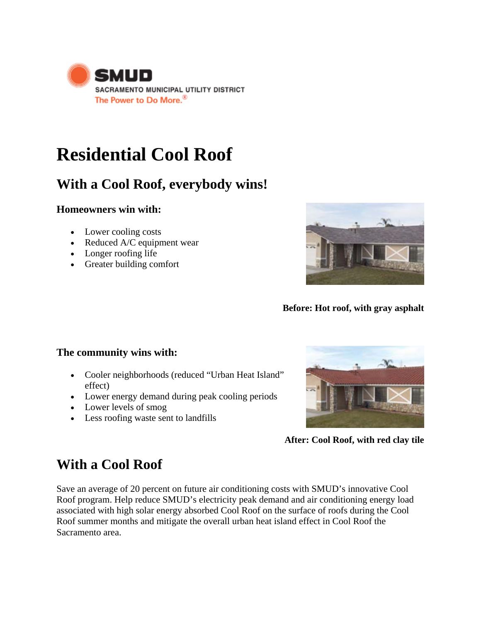

# **[Residential Cool Roof](http://www.smud.org/rebates/cool%20roofs/index.html)**

# **With a Cool Roof, everybody wins!**

### **Homeowners win with:**

- Lower cooling costs
- Reduced A/C equipment wear
- Longer roofing life
- Greater building comfort



**Before: Hot roof, with gray asphalt** 

### **The community wins with:**

- Cooler neighborhoods (reduced "Urban Heat Island" effect)
- Lower energy demand during peak cooling periods
- Lower levels of smog
- Less roofing waste sent to landfills



**After: Cool Roof, with red clay tile**

# **With a Cool Roof**

Save an average of 20 percent on future air conditioning costs with SMUD's innovative Cool Roof program. Help reduce SMUD's electricity peak demand and air conditioning energy load associated with high solar energy absorbed Cool Roof on the surface of roofs during the Cool Roof summer months and mitigate the overall urban heat island effect in Cool Roof the Sacramento area.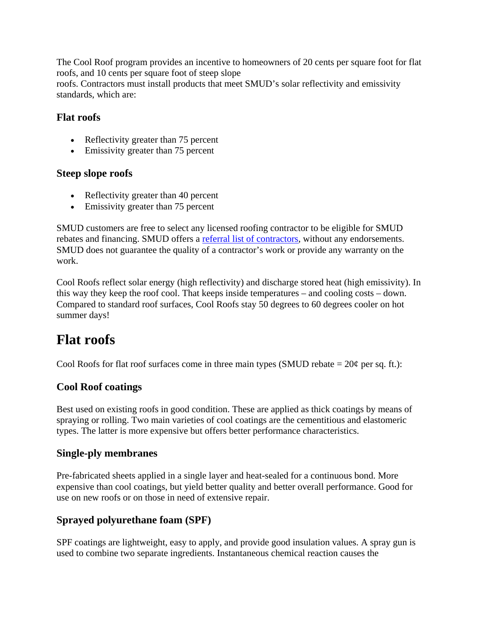The Cool Roof program provides an incentive to homeowners of 20 cents per square foot for flat roofs, and 10 cents per square foot of steep slope

roofs. Contractors must install products that meet SMUD's solar reflectivity and emissivity standards, which are:

### **Flat roofs**

- Reflectivity greater than 75 percent
- Emissivity greater than 75 percent

#### **Steep slope roofs**

- Reflectivity greater than 40 percent
- Emissivity greater than 75 percent

SMUD customers are free to select any licensed roofing contractor to be eligible for SMUD rebates and financing. SMUD offers a referral list of contractors, without any endorsements. SMUD does not guarantee the quality of a contractor's work or provide any warranty on the work.

Cool Roofs reflect solar energy (high reflectivity) and discharge stored heat (high emissivity). In this way they keep the roof cool. That keeps inside temperatures – and cooling costs – down. Compared to standard roof surfaces, Cool Roofs stay 50 degrees to 60 degrees cooler on hot summer days!

# **Flat roofs**

Cool Roofs for flat roof surfaces come in three main types (SMUD rebate  $= 20¢$  per sq. ft.):

### **Cool Roof coatings**

Best used on existing roofs in good condition. These are applied as thick coatings by means of spraying or rolling. Two main varieties of cool coatings are the cementitious and elastomeric types. The latter is more expensive but offers better performance characteristics.

### **Single-ply membranes**

Pre-fabricated sheets applied in a single layer and heat-sealed for a continuous bond. More expensive than cool coatings, but yield better quality and better overall performance. Good for use on new roofs or on those in need of extensive repair.

### **Sprayed polyurethane foam (SPF)**

SPF coatings are lightweight, easy to apply, and provide good insulation values. A spray gun is used to combine two separate ingredients. Instantaneous chemical reaction causes the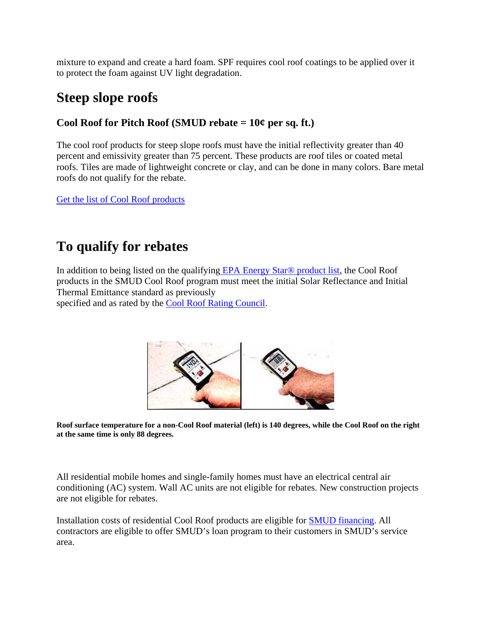mixture to expand and create a hard foam. SPF requires cool roof coatings to be applied over it to protect the foam against UV light degradation.

# **Steep slope roofs**

### **Cool Roof for Pitch Roof (SMUD rebate = 10¢ per sq. ft.)**

The cool roof products for steep slope roofs must have the initial reflectivity greater than 40 percent and emissivity greater than 75 percent. These products are roof tiles or coated metal roofs. Tiles are made of lightweight concrete or clay, and can be done in many colors. Bare metal roofs do not qualify for the rebate.

Get the list of Cool Roof products

# **To qualify for rebates**

In addition to being listed on the qualifying [EPA Energy Star® product list](http://www.energystar.gov/index.cfm?c=roof_prods.pr_roof_products), the Cool Roof products in the SMUD Cool Roof program must meet the initial Solar Reflectance and Initial Thermal Emittance standard as previously

specified and as rated by the [Cool Roof Rating Council.](http://www.coolroofs.org/)



**Roof surface temperature for a non-Cool Roof material (left) is 140 degrees, while the Cool Roof on the right at the same time is only 88 degrees.** 

All residential mobile homes and single-family homes must have an electrical central air conditioning (AC) system. Wall AC units are not eligible for rebates. New construction projects are not eligible for rebates.

Installation costs of residential Cool Roof products are eligible for [SMUD financing](http://www.smud.org/rebates/images-rebates/finance_factsheet.pdf). All contractors are eligible to offer SMUD's loan program to their customers in SMUD's service area.